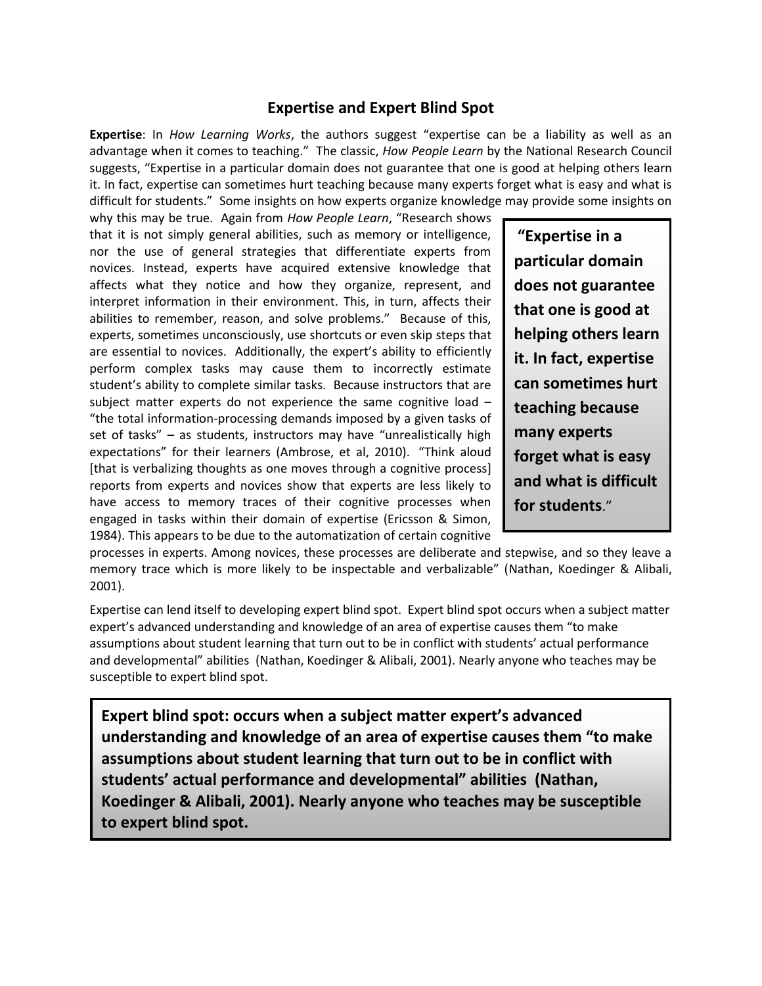## **Expertise and Expert Blind Spot**

**Expertise**: In *How Learning Works*, the authors suggest "expertise can be a liability as well as an advantage when it comes to teaching." The classic, *How People Learn* by the National Research Council suggests, "Expertise in a particular domain does not guarantee that one is good at helping others learn it. In fact, expertise can sometimes hurt teaching because many experts forget what is easy and what is difficult for students." Some insights on how experts organize knowledge may provide some insights on

why this may be true. Again from *How People Learn*, "Research shows that it is not simply general abilities, such as memory or intelligence, nor the use of general strategies that differentiate experts from novices. Instead, experts have acquired extensive knowledge that affects what they notice and how they organize, represent, and interpret information in their environment. This, in turn, affects their abilities to remember, reason, and solve problems." Because of this, experts, sometimes unconsciously, use shortcuts or even skip steps that are essential to novices. Additionally, the expert's ability to efficiently perform complex tasks may cause them to incorrectly estimate student's ability to complete similar tasks. Because instructors that are subject matter experts do not experience the same cognitive load – "the total information-processing demands imposed by a given tasks of set of tasks" – as students, instructors may have "unrealistically high expectations" for their learners (Ambrose, et al, 2010). "Think aloud [that is verbalizing thoughts as one moves through a cognitive process] reports from experts and novices show that experts are less likely to have access to memory traces of their cognitive processes when engaged in tasks within their domain of expertise (Ericsson & Simon, 1984). This appears to be due to the automatization of certain cognitive

**"Expertise in a particular domain does not guarantee that one is good at helping others learn it. In fact, expertise can sometimes hurt teaching because many experts forget what is easy and what is difficult for students**."

processes in experts. Among novices, these processes are deliberate and stepwise, and so they leave a memory trace which is more likely to be inspectable and verbalizable" (Nathan, Koedinger & Alibali, 2001).

Expertise can lend itself to developing expert blind spot. Expert blind spot occurs when a subject matter expert's advanced understanding and knowledge of an area of expertise causes them "to make assumptions about student learning that turn out to be in conflict with students' actual performance and developmental" abilities (Nathan, Koedinger & Alibali, 2001). Nearly anyone who teaches may be susceptible to expert blind spot.

**Expert blind spot: occurs when a subject matter expert's advanced understanding and knowledge of an area of expertise causes them "to make assumptions about student learning that turn out to be in conflict with students' actual performance and developmental" abilities (Nathan, Koedinger & Alibali, 2001). Nearly anyone who teaches may be susceptible to expert blind spot.**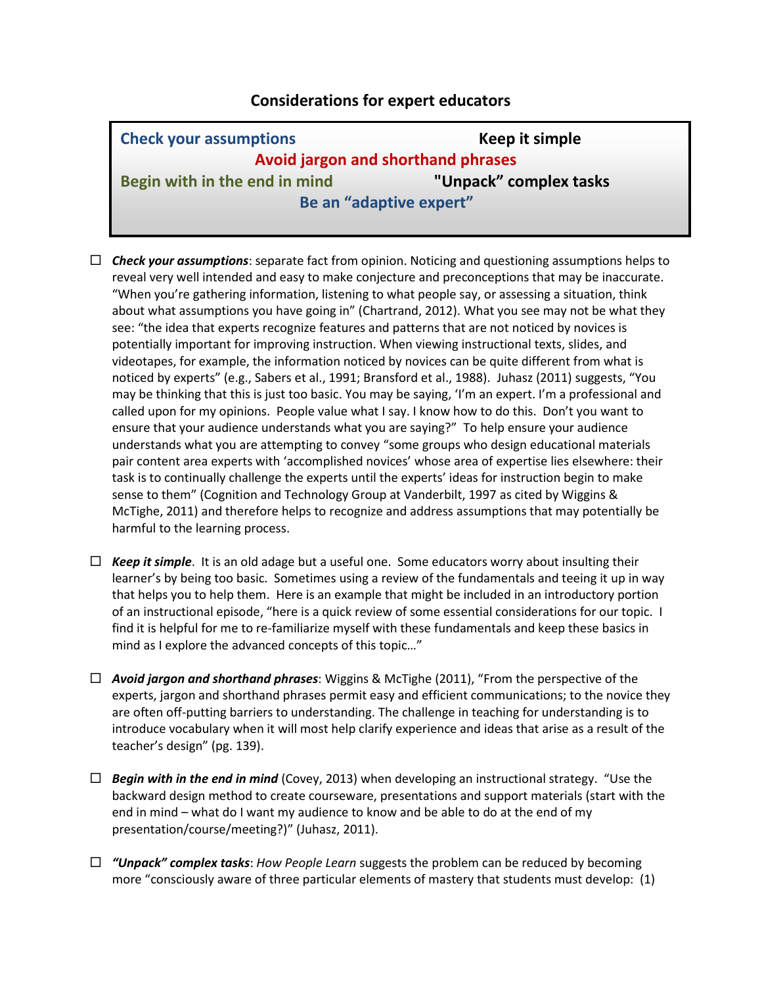## **Considerations for expert educators**

| <b>Check your assumptions</b>      | Keep it simple         |
|------------------------------------|------------------------|
| Avoid jargon and shorthand phrases |                        |
| Begin with in the end in mind      | "Unpack" complex tasks |
| Be an "adaptive expert"            |                        |

- *Check your assumptions*: separate fact from opinion. Noticing and questioning assumptions helps to reveal very well intended and easy to make conjecture and preconceptions that may be inaccurate. "When you're gathering information, listening to what people say, or assessing a situation, think about what assumptions you have going in" (Chartrand, 2012). What you see may not be what they see: "the idea that experts recognize features and patterns that are not noticed by novices is potentially important for improving instruction. When viewing instructional texts, slides, and videotapes, for example, the information noticed by novices can be quite different from what is noticed by experts" (e.g., Sabers et al., 1991; Bransford et al., 1988). Juhasz (2011) suggests, "You may be thinking that this is just too basic. You may be saying, 'I'm an expert. I'm a professional and called upon for my opinions. People value what I say. I know how to do this. Don't you want to ensure that your audience understands what you are saying?" To help ensure your audience understands what you are attempting to convey "some groups who design educational materials pair content area experts with 'accomplished novices' whose area of expertise lies elsewhere: their task is to continually challenge the experts until the experts' ideas for instruction begin to make sense to them" (Cognition and Technology Group at Vanderbilt, 1997 as cited by Wiggins & McTighe, 2011) and therefore helps to recognize and address assumptions that may potentially be harmful to the learning process.
- $\Box$  **Keep it simple**. It is an old adage but a useful one. Some educators worry about insulting their learner's by being too basic. Sometimes using a review of the fundamentals and teeing it up in way that helps you to help them. Here is an example that might be included in an introductory portion of an instructional episode, "here is a quick review of some essential considerations for our topic. I find it is helpful for me to re-familiarize myself with these fundamentals and keep these basics in mind as I explore the advanced concepts of this topic…"
- *Avoid jargon and shorthand phrases*: Wiggins & McTighe (2011), "From the perspective of the experts, jargon and shorthand phrases permit easy and efficient communications; to the novice they are often off-putting barriers to understanding. The challenge in teaching for understanding is to introduce vocabulary when it will most help clarify experience and ideas that arise as a result of the teacher's design" (pg. 139).
- *Begin with in the end in mind* (Covey, 2013) when developing an instructional strategy. "Use the backward design method to create courseware, presentations and support materials (start with the end in mind – what do I want my audience to know and be able to do at the end of my presentation/course/meeting?)" (Juhasz, 2011).
- *"Unpack" complex tasks*: *How People Learn* suggests the problem can be reduced by becoming more "consciously aware of three particular elements of mastery that students must develop: (1)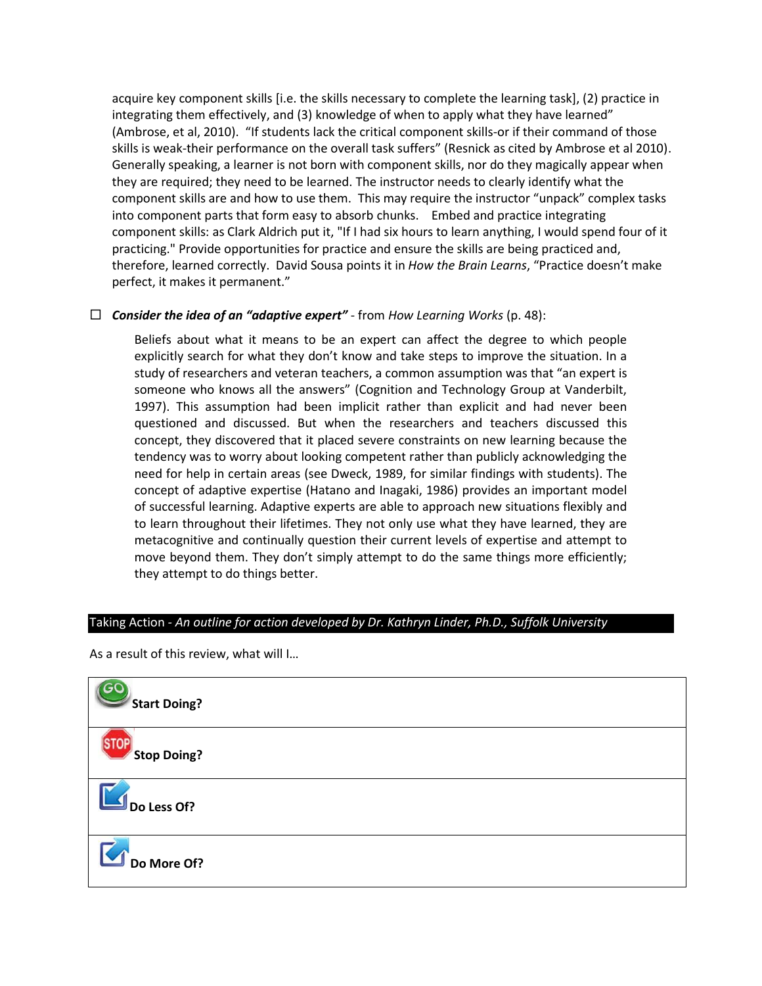acquire key component skills [i.e. the skills necessary to complete the learning task], (2) practice in integrating them effectively, and (3) knowledge of when to apply what they have learned" (Ambrose, et al, 2010). "If students lack the critical component skills-or if their command of those skills is weak-their performance on the overall task suffers" (Resnick as cited by Ambrose et al 2010). Generally speaking, a learner is not born with component skills, nor do they magically appear when they are required; they need to be learned. The instructor needs to clearly identify what the component skills are and how to use them. This may require the instructor "unpack" complex tasks into component parts that form easy to absorb chunks. Embed and practice integrating component skills: as Clark Aldrich put it, "If I had six hours to learn anything, I would spend four of it practicing." Provide opportunities for practice and ensure the skills are being practiced and, therefore, learned correctly. David Sousa points it in *How the Brain Learns*, "Practice doesn't make perfect, it makes it permanent."

## *Consider the idea of an "adaptive expert"* - from *How Learning Works* (p. 48):

Beliefs about what it means to be an expert can affect the degree to which people explicitly search for what they don't know and take steps to improve the situation. In a study of researchers and veteran teachers, a common assumption was that "an expert is someone who knows all the answers" (Cognition and Technology Group at Vanderbilt, 1997). This assumption had been implicit rather than explicit and had never been questioned and discussed. But when the researchers and teachers discussed this concept, they discovered that it placed severe constraints on new learning because the tendency was to worry about looking competent rather than publicly acknowledging the need for help in certain areas (see Dweck, 1989, for similar findings with students). The concept of adaptive expertise (Hatano and Inagaki, 1986) provides an important model of successful learning. Adaptive experts are able to approach new situations flexibly and to learn throughout their lifetimes. They not only use what they have learned, they are metacognitive and continually question their current levels of expertise and attempt to move beyond them. They don't simply attempt to do the same things more efficiently; they attempt to do things better.

## Taking Action *- An outline for action developed by Dr. Kathryn Linder, Ph.D., Suffolk University*

As a result of this review, what will I…